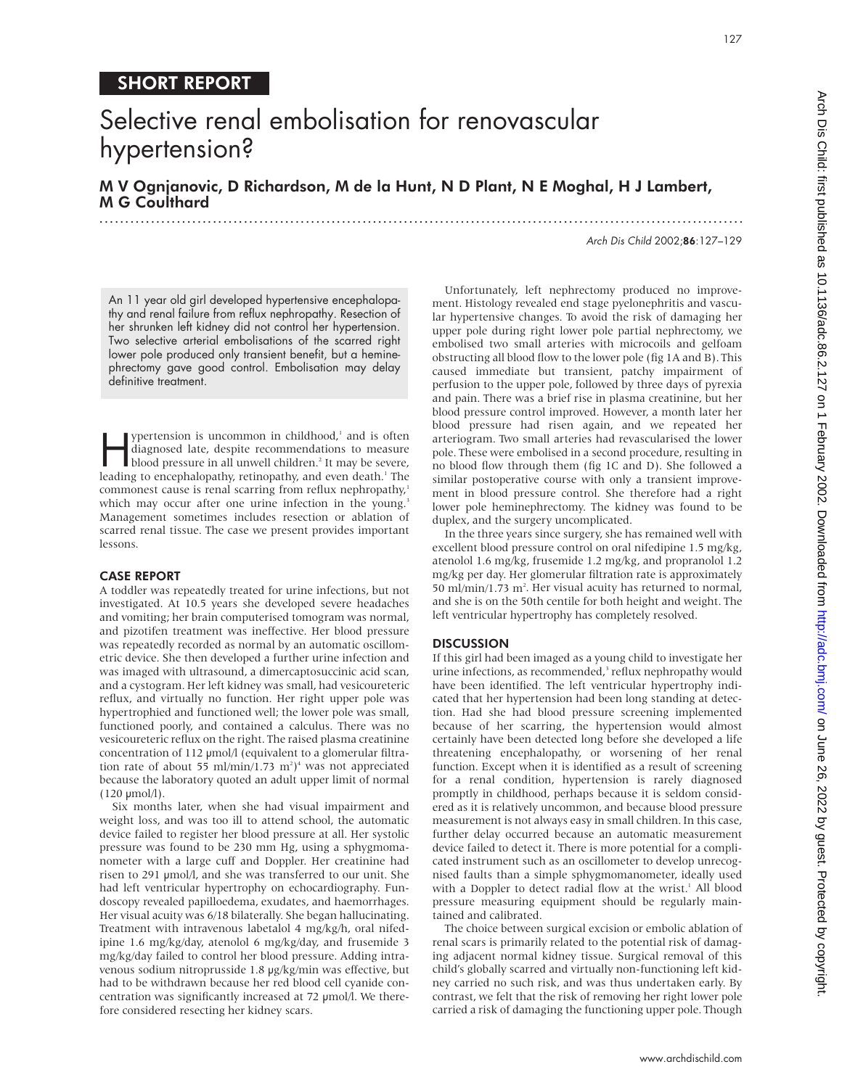### SHORT REPORT

## Selective renal embolisation for renovascular hypertension?

M V Ognjanovic, D Richardson, M de la Hunt, N D Plant, N E Moghal, H J Lambert, M G Coulthard

.............................................................................................................................

Arch Dis Child 2002;86:127–129

127

An 11 year old girl developed hypertensive encephalopathy and renal failure from reflux nephropathy. Resection of her shrunken left kidney did not control her hypertension. Two selective arterial embolisations of the scarred right lower pole produced only transient benefit, but a heminephrectomy gave good control. Embolisation may delay definitive treatment.

ypertension is uncommon in childhood,<sup>1</sup> and is often<br>diagnosed late, despite recommendations to measure<br>blood pressure in all unwell children.<sup>2</sup> It may be severe,<br>leading to encephalopathy retinopathy and even death <sup>1</sup> diagnosed late, despite recommendations to measure leading to encephalopathy, retinopathy, and even death.<sup>1</sup> The commonest cause is renal scarring from reflux nephropathy,<sup>1</sup> which may occur after one urine infection in the young.<sup>3</sup> Management sometimes includes resection or ablation of scarred renal tissue. The case we present provides important lessons.

#### CASE REPORT

A toddler was repeatedly treated for urine infections, but not investigated. At 10.5 years she developed severe headaches and vomiting; her brain computerised tomogram was normal, and pizotifen treatment was ineffective. Her blood pressure was repeatedly recorded as normal by an automatic oscillometric device. She then developed a further urine infection and was imaged with ultrasound, a dimercaptosuccinic acid scan, and a cystogram. Her left kidney was small, had vesicoureteric reflux, and virtually no function. Her right upper pole was hypertrophied and functioned well; the lower pole was small, functioned poorly, and contained a calculus. There was no vesicoureteric reflux on the right. The raised plasma creatinine concentration of 112 µmol/l (equivalent to a glomerular filtration rate of about 55 ml/min/1.73  $m^2$ <sup>4</sup> was not appreciated because the laboratory quoted an adult upper limit of normal  $(120 \mu \text{mol/l}).$ 

Six months later, when she had visual impairment and weight loss, and was too ill to attend school, the automatic device failed to register her blood pressure at all. Her systolic pressure was found to be 230 mm Hg, using a sphygmomanometer with a large cuff and Doppler. Her creatinine had risen to 291 µmol/l, and she was transferred to our unit. She had left ventricular hypertrophy on echocardiography. Fundoscopy revealed papilloedema, exudates, and haemorrhages. Her visual acuity was 6/18 bilaterally. She began hallucinating. Treatment with intravenous labetalol 4 mg/kg/h, oral nifedipine 1.6 mg/kg/day, atenolol 6 mg/kg/day, and frusemide 3 mg/kg/day failed to control her blood pressure. Adding intravenous sodium nitroprusside 1.8 µg/kg/min was effective, but had to be withdrawn because her red blood cell cyanide concentration was significantly increased at 72 µmol/l. We therefore considered resecting her kidney scars.

Unfortunately, left nephrectomy produced no improvement. Histology revealed end stage pyelonephritis and vascular hypertensive changes. To avoid the risk of damaging her upper pole during right lower pole partial nephrectomy, we embolised two small arteries with microcoils and gelfoam obstructing all blood flow to the lower pole (fig 1A and B). This caused immediate but transient, patchy impairment of perfusion to the upper pole, followed by three days of pyrexia and pain. There was a brief rise in plasma creatinine, but her blood pressure control improved. However, a month later her blood pressure had risen again, and we repeated her arteriogram. Two small arteries had revascularised the lower pole. These were embolised in a second procedure, resulting in no blood flow through them (fig 1C and D). She followed a similar postoperative course with only a transient improvement in blood pressure control. She therefore had a right lower pole heminephrectomy. The kidney was found to be duplex, and the surgery uncomplicated.

In the three years since surgery, she has remained well with excellent blood pressure control on oral nifedipine 1.5 mg/kg, atenolol 1.6 mg/kg, frusemide 1.2 mg/kg, and propranolol 1.2 mg/kg per day. Her glomerular filtration rate is approximately 50 ml/min/1.73 m<sup>2</sup>. Her visual acuity has returned to normal, and she is on the 50th centile for both height and weight. The left ventricular hypertrophy has completely resolved.

#### **DISCUSSION**

If this girl had been imaged as a young child to investigate her urine infections, as recommended,<sup>3</sup> reflux nephropathy would have been identified. The left ventricular hypertrophy indicated that her hypertension had been long standing at detection. Had she had blood pressure screening implemented because of her scarring, the hypertension would almost certainly have been detected long before she developed a life threatening encephalopathy, or worsening of her renal function. Except when it is identified as a result of screening for a renal condition, hypertension is rarely diagnosed promptly in childhood, perhaps because it is seldom considered as it is relatively uncommon, and because blood pressure measurement is not always easy in small children. In this case, further delay occurred because an automatic measurement device failed to detect it. There is more potential for a complicated instrument such as an oscillometer to develop unrecognised faults than a simple sphygmomanometer, ideally used with a Doppler to detect radial flow at the wrist.<sup>1</sup> All blood pressure measuring equipment should be regularly maintained and calibrated.

The choice between surgical excision or embolic ablation of renal scars is primarily related to the potential risk of damaging adjacent normal kidney tissue. Surgical removal of this child's globally scarred and virtually non-functioning left kidney carried no such risk, and was thus undertaken early. By contrast, we felt that the risk of removing her right lower pole carried a risk of damaging the functioning upper pole. Though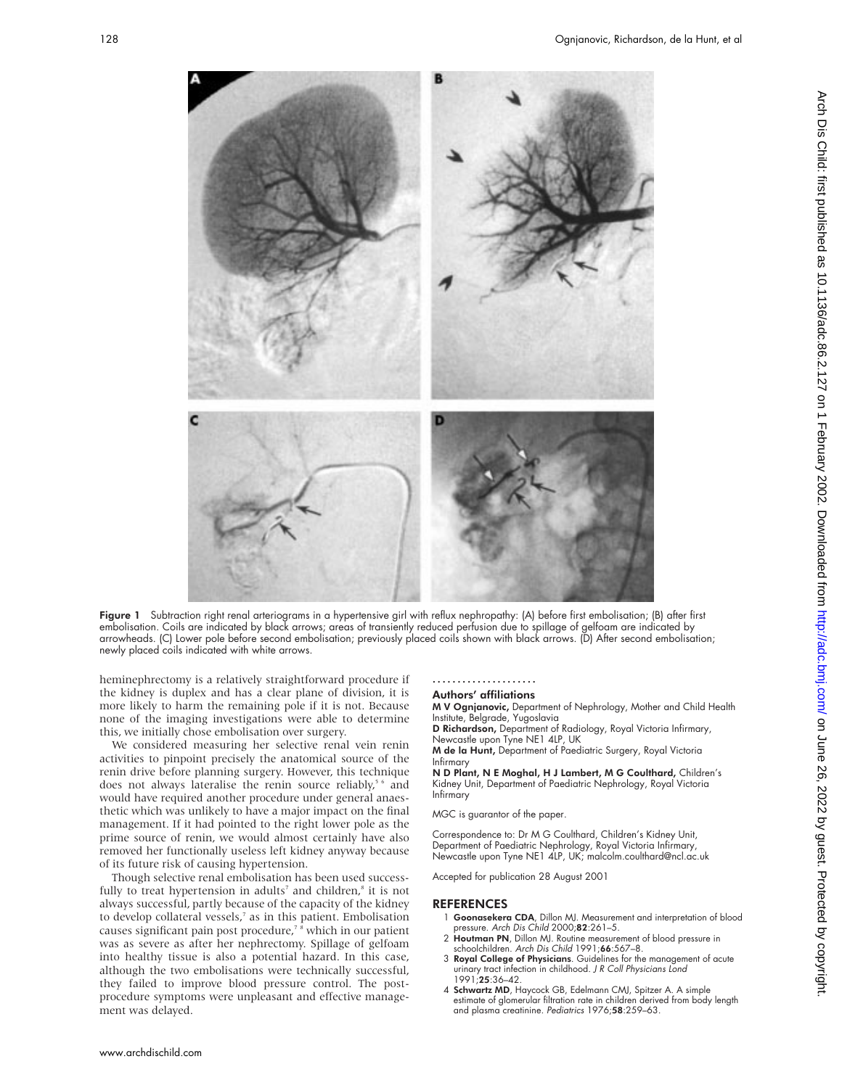

Figure 1 Subtraction right renal arteriograms in a hypertensive girl with reflux nephropathy: (A) before first embolisation; (B) after first embolisation. Coils are indicated by black arrows; areas of transiently reduced perfusion due to spillage of gelfoam are indicated by arrowheads. (C) Lower pole before second embolisation; previously placed coils shown with black arrows. (D) After second embolisation; newly placed coils indicated with white arrows.

heminephrectomy is a relatively straightforward procedure if the kidney is duplex and has a clear plane of division, it is more likely to harm the remaining pole if it is not. Because none of the imaging investigations were able to determine this, we initially chose embolisation over surgery.

We considered measuring her selective renal vein renin activities to pinpoint precisely the anatomical source of the renin drive before planning surgery. However, this technique does not always lateralise the renin source reliably,<sup>56</sup> and would have required another procedure under general anaesthetic which was unlikely to have a major impact on the final management. If it had pointed to the right lower pole as the prime source of renin, we would almost certainly have also removed her functionally useless left kidney anyway because of its future risk of causing hypertension.

Though selective renal embolisation has been used successfully to treat hypertension in adults<sup>7</sup> and children,<sup>8</sup> it is not always successful, partly because of the capacity of the kidney to develop collateral vessels,<sup>7</sup> as in this patient. Embolisation causes significant pain post procedure,<sup>7</sup> <sup>8</sup> which in our patient was as severe as after her nephrectomy. Spillage of gelfoam into healthy tissue is also a potential hazard. In this case, although the two embolisations were technically successful, they failed to improve blood pressure control. The postprocedure symptoms were unpleasant and effective management was delayed.

#### ..................... Authors' affiliations

M V Ognjanovic, Department of Nephrology, Mother and Child Health Institute, Belgrade, Yugoslavia

D Richardson, Department of Radiology, Royal Victoria Infirmary,

Newcastle upon Tyne NE1 4LP, UK<br>**M de la Hunt,** Department of Paediatric Surgery, Royal Victoria Infirmary

N D Plant, N E Moghal, H J Lambert, M G Coulthard, Children's Kidney Unit, Department of Paediatric Nephrology, Royal Victoria Infirmary

MGC is guarantor of the paper.

Correspondence to: Dr M G Coulthard, Children's Kidney Unit, Department of Paediatric Nephrology, Royal Victoria Infirmary, Newcastle upon Tyne NE1 4LP, UK; malcolm.coulthard@ncl.ac.uk

Accepted for publication 28 August 2001

#### **REFERENCES**

- 1 Goonasekera CDA, Dillon MJ. Measurement and interpretation of blood pressure. Arch Dis Child 2000;82:261–5.
- 2 Houtman PN, Dillon MJ. Routine measurement of blood pressure in schoolchildren. Arch Dis Child 1991;66:567–8.
- 3 Royal College of Physicians. Guidelines for the management of acute urinary tract infection in childhood. J <sup>R</sup> Coll Physicians Lond 1991;25:36–42.
- 4 Schwartz MD, Haycock GB, Edelmann CMJ, Spitzer A. A simple estimate of glomerular filtration rate in children derived from body length and plasma creatinine. Pediatrics 1976;58:259-63.